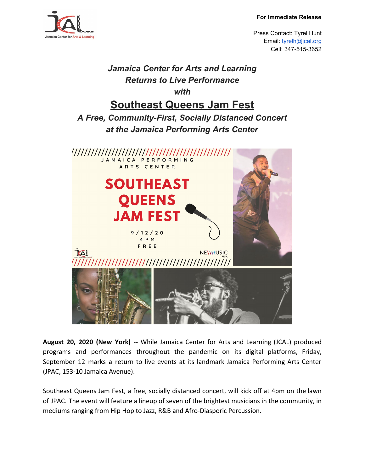#### **For Immediate Release**



Press Contact: Tyrel Hunt Email: [tyrelh@jcal.org](mailto:tyrelh@jcal.org) Cell: 347-515-3652

# *Jamaica Center for Arts and Learning Returns to Live Performance with* **Southeast Queens Jam Fest** *A Free, Community-First, Socially Distanced Concert at the Jamaica Performing Arts Center* JAMAICA PERFORMING ARTS CENTER **SOUTHEAST QUEENS JAM FEST**  $9/12/20$ 4 P M FREE **JAL NEWMUSIC**

**August 20, 2020 (New York)** -- While Jamaica Center for Arts and Learning (JCAL) produced programs and performances throughout the pandemic on its digital platforms, Friday, September 12 marks a return to live events at its landmark Jamaica Performing Arts Center (JPAC, 153-10 Jamaica Avenue).

Southeast Queens Jam Fest, a free, socially distanced concert, will kick off at 4pm on the lawn of JPAC. The event will feature a lineup of seven of the brightest musicians in the community, in mediums ranging from Hip Hop to Jazz, R&B and Afro-Diasporic Percussion.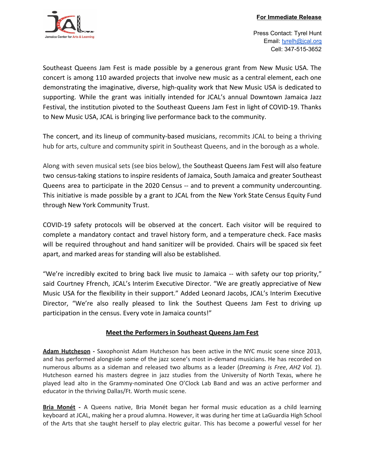

Press Contact: Tyrel Hunt Email: [tyrelh@jcal.org](mailto:tyrelh@jcal.org) Cell: 347-515-3652

Southeast Queens Jam Fest is made possible by a generous grant from New Music USA. The concert is among 110 awarded projects that involve new music as a central element, each one demonstrating the imaginative, diverse, high-quality work that New Music USA is dedicated to supporting. While the grant was initially intended for JCAL's annual Downtown Jamaica Jazz Festival, the institution pivoted to the Southeast Queens Jam Fest in light of COVID-19. Thanks to New Music USA, JCAL is bringing live performance back to the community.

The concert, and its lineup of community-based musicians, recommits JCAL to being a thriving hub for arts, culture and community spirit in Southeast Queens, and in the borough as a whole.

Along with seven musical sets (see bios below), the Southeast Queens Jam Fest will also feature two census-taking stations to inspire residents of Jamaica, South Jamaica and greater Southeast Queens area to participate in the 2020 Census -- and to prevent a community undercounting. This initiative is made possible by a grant to JCAL from the New York State Census Equity Fund through New York Community Trust.

COVID-19 safety protocols will be observed at the concert. Each visitor will be required to complete a mandatory contact and travel history form, and a temperature check. Face masks will be required throughout and hand sanitizer will be provided. Chairs will be spaced six feet apart, and marked areas for standing will also be established.

"We're incredibly excited to bring back live music to Jamaica -- with safety our top priority," said Courtney Ffrench, JCAL's Interim Executive Director. "We are greatly appreciative of New Music USA for the flexibility in their support." Added Leonard Jacobs, JCAL's Interim Executive Director, "We're also really pleased to link the Southest Queens Jam Fest to driving up participation in the census. Every vote in Jamaica counts!"

## **Meet the Performers in Southeast Queens Jam Fest**

**Adam Hutcheson -** Saxophonist Adam Hutcheson has been active in the NYC music scene since 2013, and has performed alongside some of the jazz scene's most in-demand musicians. He has recorded on numerous albums as a sideman and released two albums as a leader (*Dreaming is Free*, *AH2 Vol. 1*). Hutcheson earned his masters degree in jazz studies from the University of North Texas, where he played lead alto in the Grammy-nominated One O'Clock Lab Band and was an active performer and educator in the thriving Dallas/Ft. Worth music scene.

**Bria Monét -** A Queens native, Bria Monét began her formal music education as a child learning keyboard at JCAL, making her a proud alumna. However, it was during her time at LaGuardia High School of the Arts that she taught herself to play electric guitar. This has become a powerful vessel for her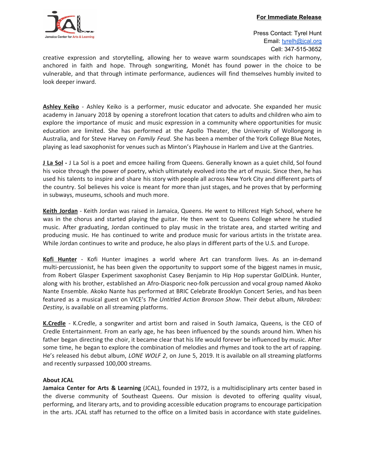

Press Contact: Tyrel Hunt Email: [tyrelh@jcal.org](mailto:tyrelh@jcal.org) Cell: 347-515-3652

creative expression and storytelling, allowing her to weave warm soundscapes with rich harmony, anchored in faith and hope. Through songwriting, Monét has found power in the choice to be vulnerable, and that through intimate performance, audiences will find themselves humbly invited to look deeper inward.

**Ashley Keiko** - Ashley Keiko is a performer, music educator and advocate. She expanded her music academy in January 2018 by opening a storefront location that caters to adults and children who aim to explore the importance of music and music expression in a community where opportunities for music education are limited. She has performed at the Apollo Theater, the University of Wollongong in Australia, and for Steve Harvey on *Family Feud*. She has been a member of the York College Blue Notes, playing as lead saxophonist for venues such as Minton's Playhouse in Harlem and Live at the Gantries.

**J La Sol -** J La Sol is a poet and emcee hailing from Queens. Generally known as a quiet child, Sol found his voice through the power of poetry, which ultimately evolved into the art of music. Since then, he has used his talents to inspire and share his story with people all across New York City and different parts of the country. Sol believes his voice is meant for more than just stages, and he proves that by performing in subways, museums, schools and much more.

**Keith Jordan** - Keith Jordan was raised in Jamaica, Queens. He went to Hillcrest High School, where he was in the chorus and started playing the guitar. He then went to Queens College where he studied music. After graduating, Jordan continued to play music in the tristate area, and started writing and producing music. He has continued to write and produce music for various artists in the tristate area. While Jordan continues to write and produce, he also plays in different parts of the U.S. and Europe.

**Kofi Hunter** - Kofi Hunter imagines a world where Art can transform lives. As an in-demand multi-percussionist, he has been given the opportunity to support some of the biggest names in music, from Robert Glasper Experiment saxophonist Casey Benjamin to Hip Hop superstar GolDLink. Hunter, along with his brother, established an Afro-Diasporic neo-folk percussion and vocal group named Akoko Nante Ensemble. Akoko Nante has performed at BRIC Celebrate Brooklyn Concert Series, and has been featured as a musical guest on VICE's *The Untitled Action Bronson Show*. Their debut album, *Nkrabea: Destiny*, is available on all streaming platforms.

**K.Credle** - K.Credle, a songwriter and artist born and raised in South Jamaica, Queens, is the CEO of Credle Entertainment. From an early age, he has been influenced by the sounds around him. When his father began directing the choir, it became clear that his life would forever be influenced by music. After some time, he began to explore the combination of melodies and rhymes and took to the art of rapping. He's released his debut album, *LONE WOLF 2*, on June 5, 2019. It is available on all streaming platforms and recently surpassed 100,000 streams.

### **About JCAL**

**Jamaica Center for Arts & Learning** (JCAL), founded in 1972, is a multidisciplinary arts center based in the diverse community of Southeast Queens. Our mission is devoted to offering quality visual, performing, and literary arts, and to providing accessible education programs to encourage participation in the arts. JCAL staff has returned to the office on a limited basis in accordance with state guidelines.